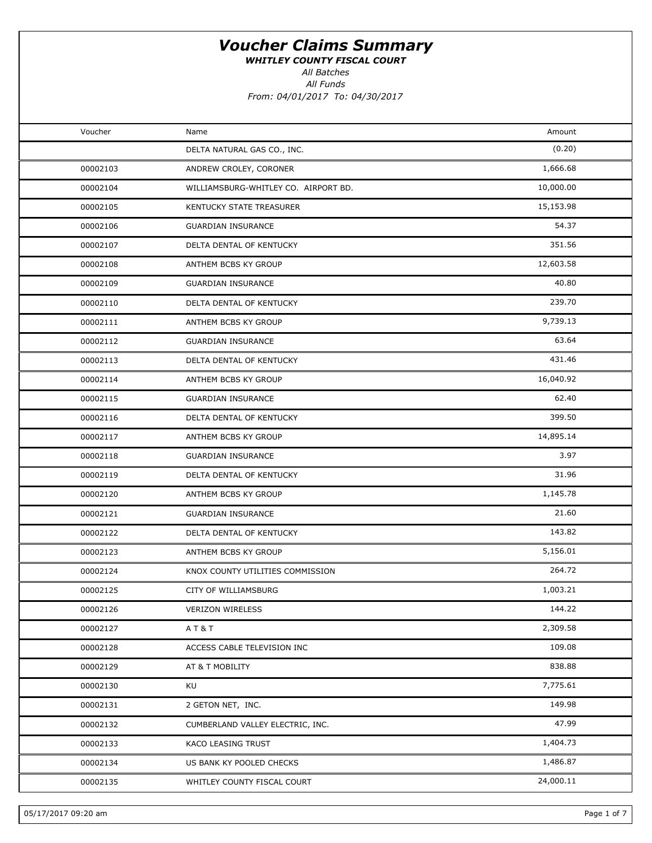WHITLEY COUNTY FISCAL COURT

All Batches

| Voucher  | Name                                 | Amount    |
|----------|--------------------------------------|-----------|
|          | DELTA NATURAL GAS CO., INC.          | (0.20)    |
| 00002103 | ANDREW CROLEY, CORONER               | 1,666.68  |
| 00002104 | WILLIAMSBURG-WHITLEY CO. AIRPORT BD. | 10,000.00 |
| 00002105 | KENTUCKY STATE TREASURER             | 15,153.98 |
| 00002106 | <b>GUARDIAN INSURANCE</b>            | 54.37     |
| 00002107 | DELTA DENTAL OF KENTUCKY             | 351.56    |
| 00002108 | ANTHEM BCBS KY GROUP                 | 12,603.58 |
| 00002109 | <b>GUARDIAN INSURANCE</b>            | 40.80     |
| 00002110 | DELTA DENTAL OF KENTUCKY             | 239.70    |
| 00002111 | ANTHEM BCBS KY GROUP                 | 9,739.13  |
| 00002112 | <b>GUARDIAN INSURANCE</b>            | 63.64     |
| 00002113 | DELTA DENTAL OF KENTUCKY             | 431.46    |
| 00002114 | ANTHEM BCBS KY GROUP                 | 16,040.92 |
| 00002115 | <b>GUARDIAN INSURANCE</b>            | 62.40     |
| 00002116 | DELTA DENTAL OF KENTUCKY             | 399.50    |
| 00002117 | ANTHEM BCBS KY GROUP                 | 14,895.14 |
| 00002118 | <b>GUARDIAN INSURANCE</b>            | 3.97      |
| 00002119 | DELTA DENTAL OF KENTUCKY             | 31.96     |
| 00002120 | ANTHEM BCBS KY GROUP                 | 1,145.78  |
| 00002121 | <b>GUARDIAN INSURANCE</b>            | 21.60     |
| 00002122 | DELTA DENTAL OF KENTUCKY             | 143.82    |
| 00002123 | ANTHEM BCBS KY GROUP                 | 5,156.01  |
| 00002124 | KNOX COUNTY UTILITIES COMMISSION     | 264.72    |
| 00002125 | CITY OF WILLIAMSBURG                 | 1,003.21  |
| 00002126 | <b>VERIZON WIRELESS</b>              | 144.22    |
| 00002127 | AT&T                                 | 2,309.58  |
| 00002128 | ACCESS CABLE TELEVISION INC          | 109.08    |
| 00002129 | AT & T MOBILITY                      | 838.88    |
| 00002130 | KU                                   | 7,775.61  |
| 00002131 | 2 GETON NET, INC.                    | 149.98    |
| 00002132 | CUMBERLAND VALLEY ELECTRIC, INC.     | 47.99     |
| 00002133 | KACO LEASING TRUST                   | 1,404.73  |
| 00002134 | US BANK KY POOLED CHECKS             | 1,486.87  |
| 00002135 | WHITLEY COUNTY FISCAL COURT          | 24,000.11 |
|          |                                      |           |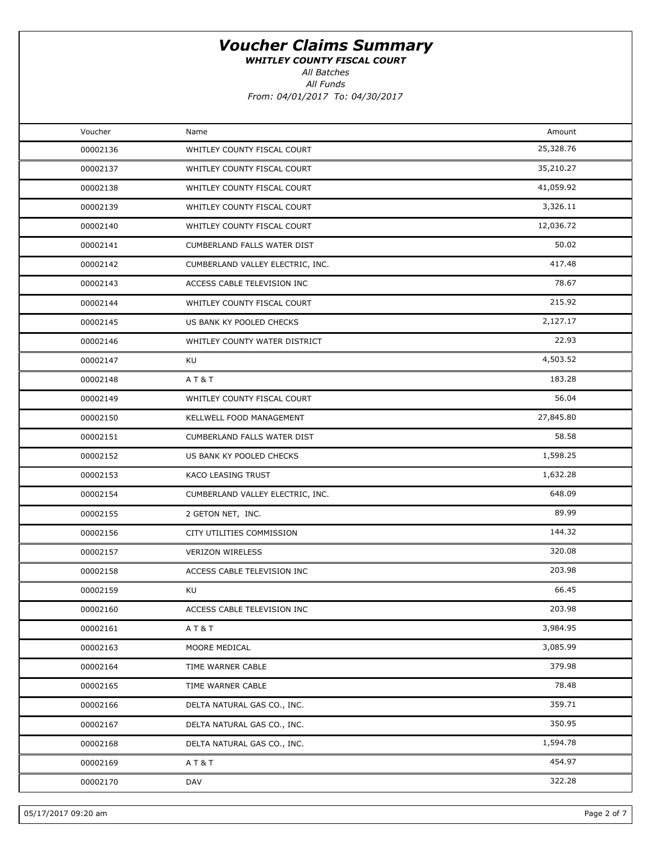WHITLEY COUNTY FISCAL COURT

All Batches

| Voucher  | Name                             | Amount    |  |
|----------|----------------------------------|-----------|--|
| 00002136 | WHITLEY COUNTY FISCAL COURT      | 25,328.76 |  |
| 00002137 | WHITLEY COUNTY FISCAL COURT      | 35,210.27 |  |
| 00002138 | WHITLEY COUNTY FISCAL COURT      | 41,059.92 |  |
| 00002139 | WHITLEY COUNTY FISCAL COURT      | 3,326.11  |  |
| 00002140 | WHITLEY COUNTY FISCAL COURT      | 12,036.72 |  |
| 00002141 | CUMBERLAND FALLS WATER DIST      | 50.02     |  |
| 00002142 | CUMBERLAND VALLEY ELECTRIC, INC. | 417.48    |  |
| 00002143 | ACCESS CABLE TELEVISION INC      | 78.67     |  |
| 00002144 | WHITLEY COUNTY FISCAL COURT      | 215.92    |  |
| 00002145 | US BANK KY POOLED CHECKS         | 2,127.17  |  |
| 00002146 | WHITLEY COUNTY WATER DISTRICT    | 22.93     |  |
| 00002147 | KU                               | 4,503.52  |  |
| 00002148 | A T & T                          | 183.28    |  |
| 00002149 | WHITLEY COUNTY FISCAL COURT      | 56.04     |  |
| 00002150 | KELLWELL FOOD MANAGEMENT         | 27,845.80 |  |
| 00002151 | CUMBERLAND FALLS WATER DIST      | 58.58     |  |
| 00002152 | US BANK KY POOLED CHECKS         | 1,598.25  |  |
| 00002153 | KACO LEASING TRUST               | 1,632.28  |  |
| 00002154 | CUMBERLAND VALLEY ELECTRIC, INC. | 648.09    |  |
| 00002155 | 2 GETON NET, INC.                | 89.99     |  |
| 00002156 | CITY UTILITIES COMMISSION        | 144.32    |  |
| 00002157 | <b>VERIZON WIRELESS</b>          | 320.08    |  |
| 00002158 | ACCESS CABLE TELEVISION INC      | 203.98    |  |
| 00002159 | KU                               | 66.45     |  |
| 00002160 | ACCESS CABLE TELEVISION INC      | 203.98    |  |
| 00002161 | AT&T                             | 3,984.95  |  |
| 00002163 | MOORE MEDICAL                    | 3,085.99  |  |
| 00002164 | TIME WARNER CABLE                | 379.98    |  |
| 00002165 | TIME WARNER CABLE                | 78.48     |  |
| 00002166 | DELTA NATURAL GAS CO., INC.      | 359.71    |  |
| 00002167 | DELTA NATURAL GAS CO., INC.      | 350.95    |  |
| 00002168 | DELTA NATURAL GAS CO., INC.      | 1,594.78  |  |
| 00002169 | AT&T                             | 454.97    |  |
| 00002170 | DAV                              | 322.28    |  |
|          |                                  |           |  |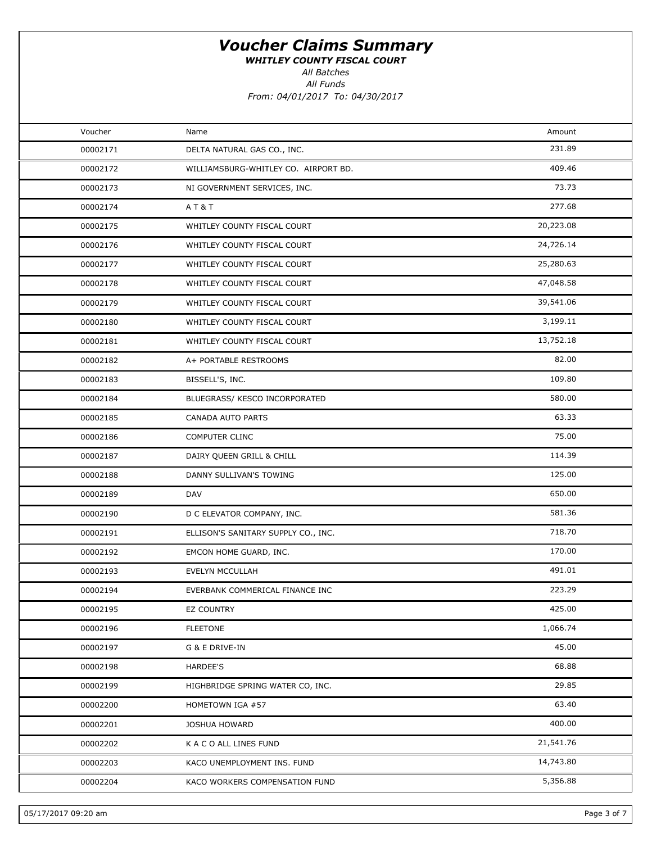WHITLEY COUNTY FISCAL COURT

All Batches

| Voucher  | Name                                 | Amount    |  |
|----------|--------------------------------------|-----------|--|
| 00002171 | DELTA NATURAL GAS CO., INC.          | 231.89    |  |
| 00002172 | WILLIAMSBURG-WHITLEY CO. AIRPORT BD. | 409.46    |  |
| 00002173 | NI GOVERNMENT SERVICES, INC.         | 73.73     |  |
| 00002174 | AT&T                                 | 277.68    |  |
| 00002175 | WHITLEY COUNTY FISCAL COURT          | 20,223.08 |  |
| 00002176 | WHITLEY COUNTY FISCAL COURT          | 24,726.14 |  |
| 00002177 | WHITLEY COUNTY FISCAL COURT          | 25,280.63 |  |
| 00002178 | WHITLEY COUNTY FISCAL COURT          | 47,048.58 |  |
| 00002179 | WHITLEY COUNTY FISCAL COURT          | 39,541.06 |  |
| 00002180 | WHITLEY COUNTY FISCAL COURT          | 3,199.11  |  |
| 00002181 | WHITLEY COUNTY FISCAL COURT          | 13,752.18 |  |
| 00002182 | A+ PORTABLE RESTROOMS                | 82.00     |  |
| 00002183 | BISSELL'S, INC.                      | 109.80    |  |
| 00002184 | BLUEGRASS/ KESCO INCORPORATED        | 580.00    |  |
| 00002185 | CANADA AUTO PARTS                    | 63.33     |  |
| 00002186 | COMPUTER CLINC                       | 75.00     |  |
| 00002187 | DAIRY QUEEN GRILL & CHILL            | 114.39    |  |
| 00002188 | DANNY SULLIVAN'S TOWING              | 125.00    |  |
| 00002189 | DAV                                  | 650.00    |  |
| 00002190 | D C ELEVATOR COMPANY, INC.           | 581.36    |  |
| 00002191 | ELLISON'S SANITARY SUPPLY CO., INC.  | 718.70    |  |
| 00002192 | EMCON HOME GUARD, INC.               | 170.00    |  |
| 00002193 | EVELYN MCCULLAH                      | 491.01    |  |
| 00002194 | EVERBANK COMMERICAL FINANCE INC      | 223.29    |  |
| 00002195 | <b>EZ COUNTRY</b>                    | 425.00    |  |
| 00002196 | <b>FLEETONE</b>                      | 1,066.74  |  |
| 00002197 | G & E DRIVE-IN                       | 45.00     |  |
| 00002198 | <b>HARDEE'S</b>                      | 68.88     |  |
| 00002199 | HIGHBRIDGE SPRING WATER CO, INC.     | 29.85     |  |
| 00002200 | HOMETOWN IGA #57                     | 63.40     |  |
| 00002201 | <b>JOSHUA HOWARD</b>                 | 400.00    |  |
| 00002202 | K A C O ALL LINES FUND               | 21,541.76 |  |
| 00002203 | KACO UNEMPLOYMENT INS. FUND          | 14,743.80 |  |
| 00002204 | KACO WORKERS COMPENSATION FUND       | 5,356.88  |  |
|          |                                      |           |  |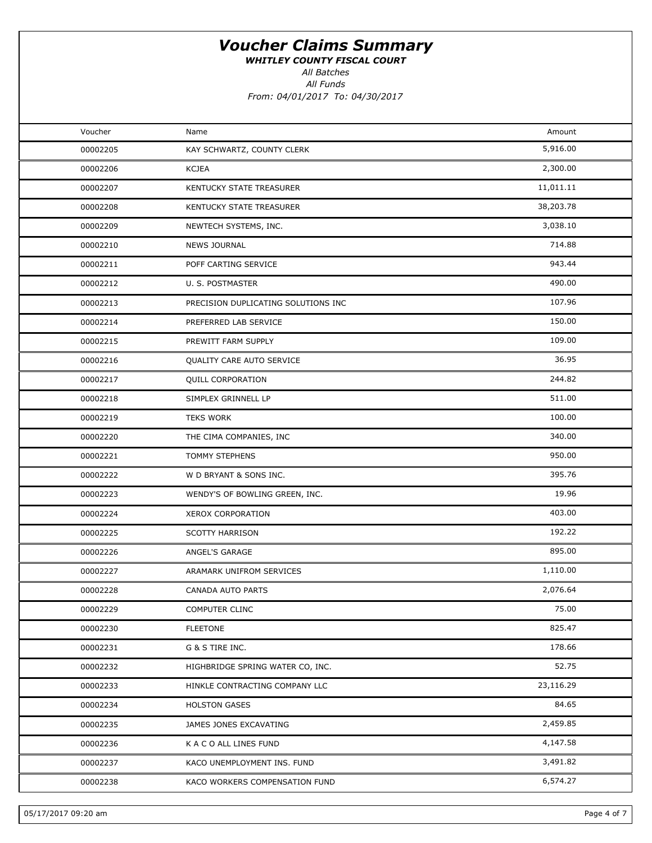WHITLEY COUNTY FISCAL COURT

All Batches

| Voucher  | Name                                | Amount    |  |
|----------|-------------------------------------|-----------|--|
| 00002205 | KAY SCHWARTZ, COUNTY CLERK          | 5,916.00  |  |
| 00002206 | <b>KCJEA</b>                        | 2,300.00  |  |
| 00002207 | KENTUCKY STATE TREASURER            | 11,011.11 |  |
| 00002208 | KENTUCKY STATE TREASURER            | 38,203.78 |  |
| 00002209 | NEWTECH SYSTEMS, INC.               | 3,038.10  |  |
| 00002210 | <b>NEWS JOURNAL</b>                 | 714.88    |  |
| 00002211 | POFF CARTING SERVICE                | 943.44    |  |
| 00002212 | U. S. POSTMASTER                    | 490.00    |  |
| 00002213 | PRECISION DUPLICATING SOLUTIONS INC | 107.96    |  |
| 00002214 | PREFERRED LAB SERVICE               | 150.00    |  |
| 00002215 | PREWITT FARM SUPPLY                 | 109.00    |  |
| 00002216 | QUALITY CARE AUTO SERVICE           | 36.95     |  |
| 00002217 | <b>QUILL CORPORATION</b>            | 244.82    |  |
| 00002218 | SIMPLEX GRINNELL LP                 | 511.00    |  |
| 00002219 | <b>TEKS WORK</b>                    | 100.00    |  |
| 00002220 | THE CIMA COMPANIES, INC             | 340.00    |  |
| 00002221 | TOMMY STEPHENS                      | 950.00    |  |
| 00002222 | W D BRYANT & SONS INC.              | 395.76    |  |
| 00002223 | WENDY'S OF BOWLING GREEN, INC.      | 19.96     |  |
| 00002224 | XEROX CORPORATION                   | 403.00    |  |
| 00002225 | <b>SCOTTY HARRISON</b>              | 192.22    |  |
| 00002226 | ANGEL'S GARAGE                      | 895.00    |  |
| 00002227 | ARAMARK UNIFROM SERVICES            | 1,110.00  |  |
| 00002228 | CANADA AUTO PARTS                   | 2,076.64  |  |
| 00002229 | COMPUTER CLINC                      | 75.00     |  |
| 00002230 | <b>FLEETONE</b>                     | 825.47    |  |
| 00002231 | G & S TIRE INC.                     | 178.66    |  |
| 00002232 | HIGHBRIDGE SPRING WATER CO, INC.    | 52.75     |  |
| 00002233 | HINKLE CONTRACTING COMPANY LLC      | 23,116.29 |  |
| 00002234 | <b>HOLSTON GASES</b>                | 84.65     |  |
| 00002235 | JAMES JONES EXCAVATING              | 2,459.85  |  |
| 00002236 | K A C O ALL LINES FUND              | 4,147.58  |  |
| 00002237 | KACO UNEMPLOYMENT INS. FUND         | 3,491.82  |  |
| 00002238 | KACO WORKERS COMPENSATION FUND      | 6,574.27  |  |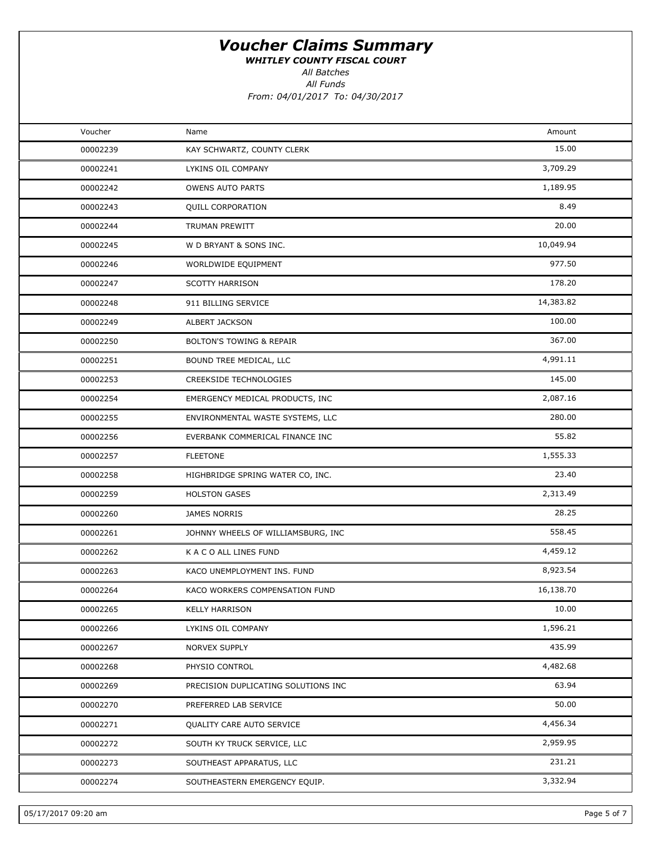WHITLEY COUNTY FISCAL COURT

All Funds All Batches

From: 04/01/2017 To: 04/30/2017

| Voucher<br>Amount<br>Name<br>15.00<br>KAY SCHWARTZ, COUNTY CLERK<br>00002239<br>3,709.29<br>00002241<br>LYKINS OIL COMPANY<br>1,189.95<br>00002242<br><b>OWENS AUTO PARTS</b><br>8.49<br>00002243<br><b>QUILL CORPORATION</b><br>20.00<br>00002244<br>TRUMAN PREWITT<br>10,049.94<br>00002245<br>W D BRYANT & SONS INC.<br>977.50<br>00002246<br>WORLDWIDE EQUIPMENT<br>178.20<br><b>SCOTTY HARRISON</b><br>00002247<br>14,383.82<br>00002248<br>911 BILLING SERVICE<br>100.00<br>00002249<br>ALBERT JACKSON<br>367.00<br>00002250<br><b>BOLTON'S TOWING &amp; REPAIR</b><br>4,991.11<br>00002251<br>BOUND TREE MEDICAL, LLC<br>145.00<br>00002253<br><b>CREEKSIDE TECHNOLOGIES</b><br>2,087.16<br>00002254<br>EMERGENCY MEDICAL PRODUCTS, INC<br>280.00<br>00002255<br>ENVIRONMENTAL WASTE SYSTEMS, LLC<br>55.82<br>00002256<br>EVERBANK COMMERICAL FINANCE INC<br>1,555.33<br>00002257<br><b>FLEETONE</b><br>23.40<br>00002258<br>HIGHBRIDGE SPRING WATER CO, INC.<br>2,313.49<br>00002259<br><b>HOLSTON GASES</b><br>28.25<br>00002260<br>JAMES NORRIS<br>558.45<br>JOHNNY WHEELS OF WILLIAMSBURG, INC<br>00002261<br>4,459.12<br>K A C O ALL LINES FUND<br>00002262<br>8,923.54<br>00002263<br>KACO UNEMPLOYMENT INS. FUND<br>16,138.70<br>00002264<br>KACO WORKERS COMPENSATION FUND<br>10.00<br>00002265<br><b>KELLY HARRISON</b><br>1,596.21<br>00002266<br>LYKINS OIL COMPANY<br>435.99<br>00002267<br>NORVEX SUPPLY<br>4,482.68<br>PHYSIO CONTROL<br>00002268<br>63.94<br>00002269<br>PRECISION DUPLICATING SOLUTIONS INC<br>50.00<br>00002270<br>PREFERRED LAB SERVICE<br>4,456.34<br>00002271<br><b>QUALITY CARE AUTO SERVICE</b><br>2,959.95<br>00002272<br>SOUTH KY TRUCK SERVICE, LLC<br>231.21<br>SOUTHEAST APPARATUS, LLC<br>00002273<br>3,332.94<br>SOUTHEASTERN EMERGENCY EQUIP.<br>00002274 |  |  |
|----------------------------------------------------------------------------------------------------------------------------------------------------------------------------------------------------------------------------------------------------------------------------------------------------------------------------------------------------------------------------------------------------------------------------------------------------------------------------------------------------------------------------------------------------------------------------------------------------------------------------------------------------------------------------------------------------------------------------------------------------------------------------------------------------------------------------------------------------------------------------------------------------------------------------------------------------------------------------------------------------------------------------------------------------------------------------------------------------------------------------------------------------------------------------------------------------------------------------------------------------------------------------------------------------------------------------------------------------------------------------------------------------------------------------------------------------------------------------------------------------------------------------------------------------------------------------------------------------------------------------------------------------------------------------------------------------------------------------------------------------------------------------------------------------------------|--|--|
|                                                                                                                                                                                                                                                                                                                                                                                                                                                                                                                                                                                                                                                                                                                                                                                                                                                                                                                                                                                                                                                                                                                                                                                                                                                                                                                                                                                                                                                                                                                                                                                                                                                                                                                                                                                                                |  |  |
|                                                                                                                                                                                                                                                                                                                                                                                                                                                                                                                                                                                                                                                                                                                                                                                                                                                                                                                                                                                                                                                                                                                                                                                                                                                                                                                                                                                                                                                                                                                                                                                                                                                                                                                                                                                                                |  |  |
|                                                                                                                                                                                                                                                                                                                                                                                                                                                                                                                                                                                                                                                                                                                                                                                                                                                                                                                                                                                                                                                                                                                                                                                                                                                                                                                                                                                                                                                                                                                                                                                                                                                                                                                                                                                                                |  |  |
|                                                                                                                                                                                                                                                                                                                                                                                                                                                                                                                                                                                                                                                                                                                                                                                                                                                                                                                                                                                                                                                                                                                                                                                                                                                                                                                                                                                                                                                                                                                                                                                                                                                                                                                                                                                                                |  |  |
|                                                                                                                                                                                                                                                                                                                                                                                                                                                                                                                                                                                                                                                                                                                                                                                                                                                                                                                                                                                                                                                                                                                                                                                                                                                                                                                                                                                                                                                                                                                                                                                                                                                                                                                                                                                                                |  |  |
|                                                                                                                                                                                                                                                                                                                                                                                                                                                                                                                                                                                                                                                                                                                                                                                                                                                                                                                                                                                                                                                                                                                                                                                                                                                                                                                                                                                                                                                                                                                                                                                                                                                                                                                                                                                                                |  |  |
|                                                                                                                                                                                                                                                                                                                                                                                                                                                                                                                                                                                                                                                                                                                                                                                                                                                                                                                                                                                                                                                                                                                                                                                                                                                                                                                                                                                                                                                                                                                                                                                                                                                                                                                                                                                                                |  |  |
|                                                                                                                                                                                                                                                                                                                                                                                                                                                                                                                                                                                                                                                                                                                                                                                                                                                                                                                                                                                                                                                                                                                                                                                                                                                                                                                                                                                                                                                                                                                                                                                                                                                                                                                                                                                                                |  |  |
|                                                                                                                                                                                                                                                                                                                                                                                                                                                                                                                                                                                                                                                                                                                                                                                                                                                                                                                                                                                                                                                                                                                                                                                                                                                                                                                                                                                                                                                                                                                                                                                                                                                                                                                                                                                                                |  |  |
|                                                                                                                                                                                                                                                                                                                                                                                                                                                                                                                                                                                                                                                                                                                                                                                                                                                                                                                                                                                                                                                                                                                                                                                                                                                                                                                                                                                                                                                                                                                                                                                                                                                                                                                                                                                                                |  |  |
|                                                                                                                                                                                                                                                                                                                                                                                                                                                                                                                                                                                                                                                                                                                                                                                                                                                                                                                                                                                                                                                                                                                                                                                                                                                                                                                                                                                                                                                                                                                                                                                                                                                                                                                                                                                                                |  |  |
|                                                                                                                                                                                                                                                                                                                                                                                                                                                                                                                                                                                                                                                                                                                                                                                                                                                                                                                                                                                                                                                                                                                                                                                                                                                                                                                                                                                                                                                                                                                                                                                                                                                                                                                                                                                                                |  |  |
|                                                                                                                                                                                                                                                                                                                                                                                                                                                                                                                                                                                                                                                                                                                                                                                                                                                                                                                                                                                                                                                                                                                                                                                                                                                                                                                                                                                                                                                                                                                                                                                                                                                                                                                                                                                                                |  |  |
|                                                                                                                                                                                                                                                                                                                                                                                                                                                                                                                                                                                                                                                                                                                                                                                                                                                                                                                                                                                                                                                                                                                                                                                                                                                                                                                                                                                                                                                                                                                                                                                                                                                                                                                                                                                                                |  |  |
|                                                                                                                                                                                                                                                                                                                                                                                                                                                                                                                                                                                                                                                                                                                                                                                                                                                                                                                                                                                                                                                                                                                                                                                                                                                                                                                                                                                                                                                                                                                                                                                                                                                                                                                                                                                                                |  |  |
|                                                                                                                                                                                                                                                                                                                                                                                                                                                                                                                                                                                                                                                                                                                                                                                                                                                                                                                                                                                                                                                                                                                                                                                                                                                                                                                                                                                                                                                                                                                                                                                                                                                                                                                                                                                                                |  |  |
|                                                                                                                                                                                                                                                                                                                                                                                                                                                                                                                                                                                                                                                                                                                                                                                                                                                                                                                                                                                                                                                                                                                                                                                                                                                                                                                                                                                                                                                                                                                                                                                                                                                                                                                                                                                                                |  |  |
|                                                                                                                                                                                                                                                                                                                                                                                                                                                                                                                                                                                                                                                                                                                                                                                                                                                                                                                                                                                                                                                                                                                                                                                                                                                                                                                                                                                                                                                                                                                                                                                                                                                                                                                                                                                                                |  |  |
|                                                                                                                                                                                                                                                                                                                                                                                                                                                                                                                                                                                                                                                                                                                                                                                                                                                                                                                                                                                                                                                                                                                                                                                                                                                                                                                                                                                                                                                                                                                                                                                                                                                                                                                                                                                                                |  |  |
|                                                                                                                                                                                                                                                                                                                                                                                                                                                                                                                                                                                                                                                                                                                                                                                                                                                                                                                                                                                                                                                                                                                                                                                                                                                                                                                                                                                                                                                                                                                                                                                                                                                                                                                                                                                                                |  |  |
|                                                                                                                                                                                                                                                                                                                                                                                                                                                                                                                                                                                                                                                                                                                                                                                                                                                                                                                                                                                                                                                                                                                                                                                                                                                                                                                                                                                                                                                                                                                                                                                                                                                                                                                                                                                                                |  |  |
|                                                                                                                                                                                                                                                                                                                                                                                                                                                                                                                                                                                                                                                                                                                                                                                                                                                                                                                                                                                                                                                                                                                                                                                                                                                                                                                                                                                                                                                                                                                                                                                                                                                                                                                                                                                                                |  |  |
|                                                                                                                                                                                                                                                                                                                                                                                                                                                                                                                                                                                                                                                                                                                                                                                                                                                                                                                                                                                                                                                                                                                                                                                                                                                                                                                                                                                                                                                                                                                                                                                                                                                                                                                                                                                                                |  |  |
|                                                                                                                                                                                                                                                                                                                                                                                                                                                                                                                                                                                                                                                                                                                                                                                                                                                                                                                                                                                                                                                                                                                                                                                                                                                                                                                                                                                                                                                                                                                                                                                                                                                                                                                                                                                                                |  |  |
|                                                                                                                                                                                                                                                                                                                                                                                                                                                                                                                                                                                                                                                                                                                                                                                                                                                                                                                                                                                                                                                                                                                                                                                                                                                                                                                                                                                                                                                                                                                                                                                                                                                                                                                                                                                                                |  |  |
|                                                                                                                                                                                                                                                                                                                                                                                                                                                                                                                                                                                                                                                                                                                                                                                                                                                                                                                                                                                                                                                                                                                                                                                                                                                                                                                                                                                                                                                                                                                                                                                                                                                                                                                                                                                                                |  |  |
|                                                                                                                                                                                                                                                                                                                                                                                                                                                                                                                                                                                                                                                                                                                                                                                                                                                                                                                                                                                                                                                                                                                                                                                                                                                                                                                                                                                                                                                                                                                                                                                                                                                                                                                                                                                                                |  |  |
|                                                                                                                                                                                                                                                                                                                                                                                                                                                                                                                                                                                                                                                                                                                                                                                                                                                                                                                                                                                                                                                                                                                                                                                                                                                                                                                                                                                                                                                                                                                                                                                                                                                                                                                                                                                                                |  |  |
|                                                                                                                                                                                                                                                                                                                                                                                                                                                                                                                                                                                                                                                                                                                                                                                                                                                                                                                                                                                                                                                                                                                                                                                                                                                                                                                                                                                                                                                                                                                                                                                                                                                                                                                                                                                                                |  |  |
|                                                                                                                                                                                                                                                                                                                                                                                                                                                                                                                                                                                                                                                                                                                                                                                                                                                                                                                                                                                                                                                                                                                                                                                                                                                                                                                                                                                                                                                                                                                                                                                                                                                                                                                                                                                                                |  |  |
|                                                                                                                                                                                                                                                                                                                                                                                                                                                                                                                                                                                                                                                                                                                                                                                                                                                                                                                                                                                                                                                                                                                                                                                                                                                                                                                                                                                                                                                                                                                                                                                                                                                                                                                                                                                                                |  |  |
|                                                                                                                                                                                                                                                                                                                                                                                                                                                                                                                                                                                                                                                                                                                                                                                                                                                                                                                                                                                                                                                                                                                                                                                                                                                                                                                                                                                                                                                                                                                                                                                                                                                                                                                                                                                                                |  |  |
|                                                                                                                                                                                                                                                                                                                                                                                                                                                                                                                                                                                                                                                                                                                                                                                                                                                                                                                                                                                                                                                                                                                                                                                                                                                                                                                                                                                                                                                                                                                                                                                                                                                                                                                                                                                                                |  |  |
|                                                                                                                                                                                                                                                                                                                                                                                                                                                                                                                                                                                                                                                                                                                                                                                                                                                                                                                                                                                                                                                                                                                                                                                                                                                                                                                                                                                                                                                                                                                                                                                                                                                                                                                                                                                                                |  |  |
|                                                                                                                                                                                                                                                                                                                                                                                                                                                                                                                                                                                                                                                                                                                                                                                                                                                                                                                                                                                                                                                                                                                                                                                                                                                                                                                                                                                                                                                                                                                                                                                                                                                                                                                                                                                                                |  |  |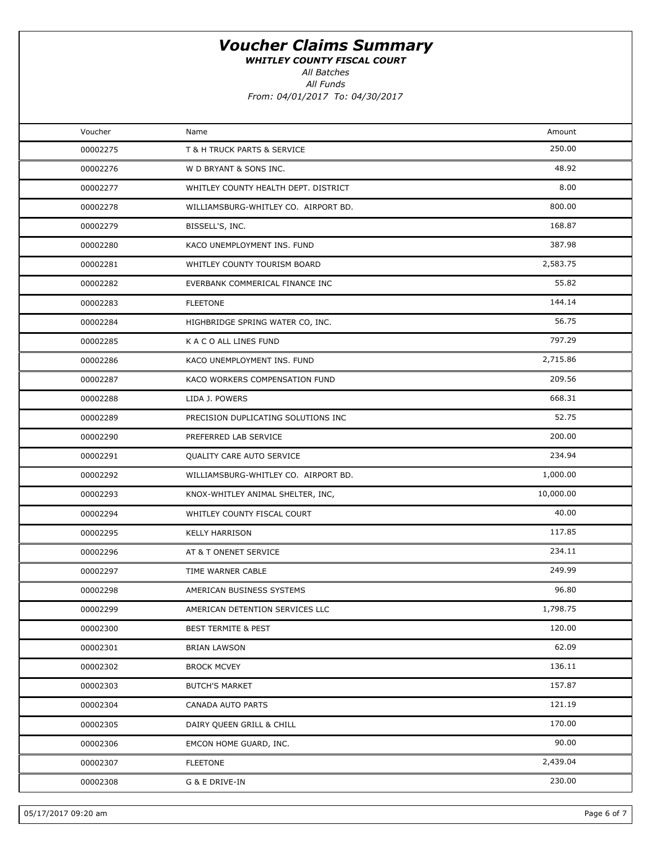WHITLEY COUNTY FISCAL COURT

All Batches

All Funds

From: 04/01/2017 To: 04/30/2017

| Voucher  | Name                                 | Amount    |  |
|----------|--------------------------------------|-----------|--|
| 00002275 | T & H TRUCK PARTS & SERVICE          | 250.00    |  |
| 00002276 | W D BRYANT & SONS INC.               | 48.92     |  |
| 00002277 | WHITLEY COUNTY HEALTH DEPT. DISTRICT | 8.00      |  |
| 00002278 | WILLIAMSBURG-WHITLEY CO. AIRPORT BD. | 800.00    |  |
| 00002279 | BISSELL'S, INC.                      | 168.87    |  |
| 00002280 | KACO UNEMPLOYMENT INS. FUND          | 387.98    |  |
| 00002281 | WHITLEY COUNTY TOURISM BOARD         | 2,583.75  |  |
| 00002282 | EVERBANK COMMERICAL FINANCE INC      | 55.82     |  |
| 00002283 | <b>FLEETONE</b>                      | 144.14    |  |
| 00002284 | HIGHBRIDGE SPRING WATER CO, INC.     | 56.75     |  |
| 00002285 | K A C O ALL LINES FUND               | 797.29    |  |
| 00002286 | KACO UNEMPLOYMENT INS. FUND          | 2,715.86  |  |
| 00002287 | KACO WORKERS COMPENSATION FUND       | 209.56    |  |
| 00002288 | LIDA J. POWERS                       | 668.31    |  |
| 00002289 | PRECISION DUPLICATING SOLUTIONS INC  | 52.75     |  |
| 00002290 | PREFERRED LAB SERVICE                | 200.00    |  |
| 00002291 | QUALITY CARE AUTO SERVICE            | 234.94    |  |
| 00002292 | WILLIAMSBURG-WHITLEY CO. AIRPORT BD. | 1,000.00  |  |
| 00002293 | KNOX-WHITLEY ANIMAL SHELTER, INC,    | 10,000.00 |  |
| 00002294 | WHITLEY COUNTY FISCAL COURT          | 40.00     |  |
| 00002295 | <b>KELLY HARRISON</b>                | 117.85    |  |
| 00002296 | AT & T ONENET SERVICE                | 234.11    |  |
| 00002297 | TIME WARNER CABLE                    | 249.99    |  |
| 00002298 | AMERICAN BUSINESS SYSTEMS            | 96.80     |  |
| 00002299 | AMERICAN DETENTION SERVICES LLC      | 1,798.75  |  |
| 00002300 | <b>BEST TERMITE &amp; PEST</b>       | 120.00    |  |
| 00002301 | <b>BRIAN LAWSON</b>                  | 62.09     |  |
| 00002302 | <b>BROCK MCVEY</b>                   | 136.11    |  |
| 00002303 | <b>BUTCH'S MARKET</b>                | 157.87    |  |
| 00002304 | CANADA AUTO PARTS                    | 121.19    |  |
| 00002305 | DAIRY QUEEN GRILL & CHILL            | 170.00    |  |
| 00002306 | EMCON HOME GUARD, INC.               | 90.00     |  |
| 00002307 | <b>FLEETONE</b>                      | 2,439.04  |  |
| 00002308 | G & E DRIVE-IN                       | 230.00    |  |
|          |                                      |           |  |